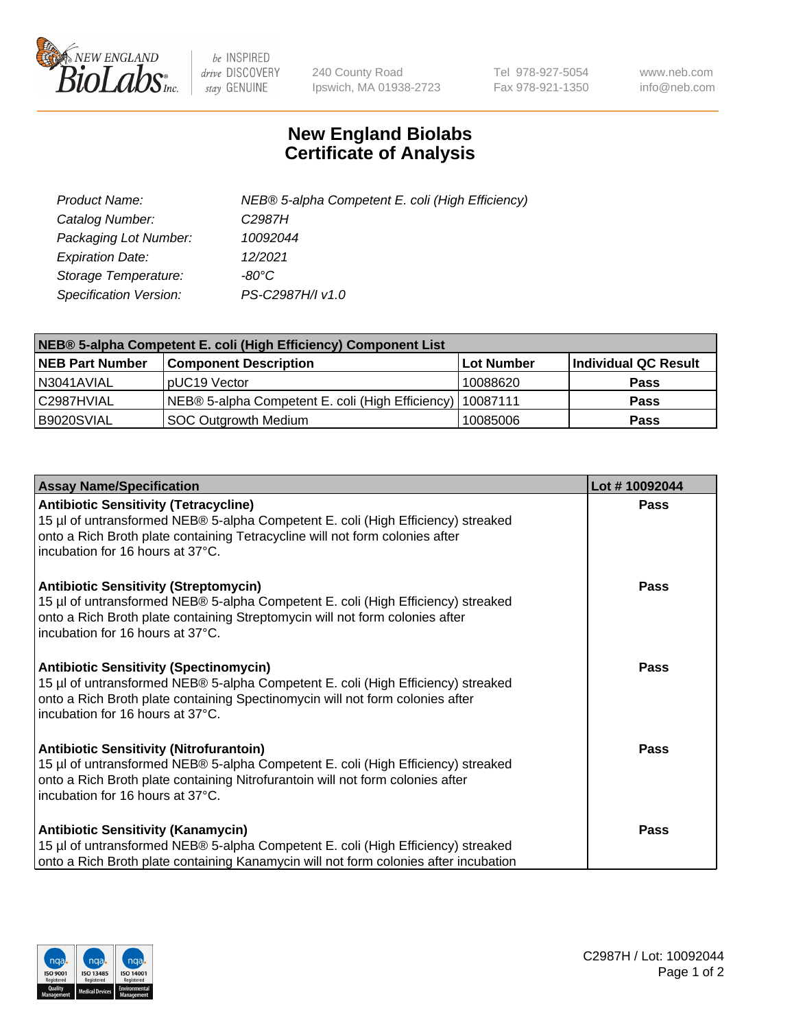

 $be$  INSPIRED drive DISCOVERY stay GENUINE

240 County Road Ipswich, MA 01938-2723 Tel 978-927-5054 Fax 978-921-1350 www.neb.com info@neb.com

## **New England Biolabs Certificate of Analysis**

| Product Name:           | NEB® 5-alpha Competent E. coli (High Efficiency) |
|-------------------------|--------------------------------------------------|
| Catalog Number:         | C <sub>2987</sub> H                              |
| Packaging Lot Number:   | 10092044                                         |
| <b>Expiration Date:</b> | 12/2021                                          |
| Storage Temperature:    | -80°C                                            |
| Specification Version:  | PS-C2987H/I v1.0                                 |

| NEB® 5-alpha Competent E. coli (High Efficiency) Component List |                                                             |            |                      |  |
|-----------------------------------------------------------------|-------------------------------------------------------------|------------|----------------------|--|
| <b>NEB Part Number</b>                                          | <b>Component Description</b>                                | Lot Number | Individual QC Result |  |
| N3041AVIAL                                                      | pUC19 Vector                                                | 10088620   | <b>Pass</b>          |  |
| C2987HVIAL                                                      | NEB® 5-alpha Competent E. coli (High Efficiency)   10087111 |            | <b>Pass</b>          |  |
| B9020SVIAL                                                      | <b>SOC Outgrowth Medium</b>                                 | 10085006   | <b>Pass</b>          |  |

| <b>Assay Name/Specification</b>                                                                                                                                                                                                                          | Lot #10092044 |
|----------------------------------------------------------------------------------------------------------------------------------------------------------------------------------------------------------------------------------------------------------|---------------|
| <b>Antibiotic Sensitivity (Tetracycline)</b><br>15 µl of untransformed NEB® 5-alpha Competent E. coli (High Efficiency) streaked<br>onto a Rich Broth plate containing Tetracycline will not form colonies after<br>incubation for 16 hours at 37°C.     | <b>Pass</b>   |
| <b>Antibiotic Sensitivity (Streptomycin)</b><br>15 µl of untransformed NEB® 5-alpha Competent E. coli (High Efficiency) streaked<br>onto a Rich Broth plate containing Streptomycin will not form colonies after<br>incubation for 16 hours at 37°C.     | Pass          |
| <b>Antibiotic Sensitivity (Spectinomycin)</b><br>15 µl of untransformed NEB® 5-alpha Competent E. coli (High Efficiency) streaked<br>onto a Rich Broth plate containing Spectinomycin will not form colonies after<br>incubation for 16 hours at 37°C.   | Pass          |
| <b>Antibiotic Sensitivity (Nitrofurantoin)</b><br>15 µl of untransformed NEB® 5-alpha Competent E. coli (High Efficiency) streaked<br>onto a Rich Broth plate containing Nitrofurantoin will not form colonies after<br>incubation for 16 hours at 37°C. | <b>Pass</b>   |
| <b>Antibiotic Sensitivity (Kanamycin)</b><br>15 µl of untransformed NEB® 5-alpha Competent E. coli (High Efficiency) streaked<br>onto a Rich Broth plate containing Kanamycin will not form colonies after incubation                                    | Pass          |